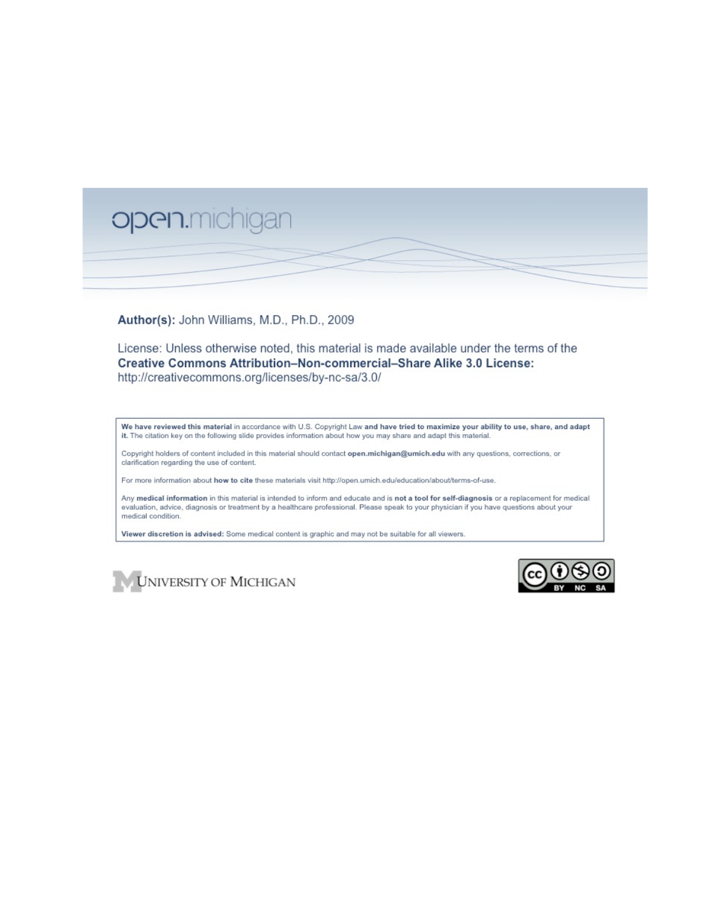

Author(s): John Williams, M.D., Ph.D., 2009

License: Unless otherwise noted, this material is made available under the terms of the Creative Commons Attribution-Non-commercial-Share Alike 3.0 License: http://creativecommons.org/licenses/by-nc-sa/3.0/

We have reviewed this material in accordance with U.S. Copyright Law and have tried to maximize your ability to use, share, and adapt it. The citation key on the following slide provides information about how you may share and adapt this material.

Copyright holders of content included in this material should contact open.michigan@umich.edu with any questions, corrections, or clarification regarding the use of content.

For more information about how to cite these materials visit http://open.umich.edu/education/about/terms-of-use.

Any medical information in this material is intended to inform and educate and is not a tool for self-diagnosis or a replacement for medical evaluation, advice, diagnosis or treatment by a healthcare professional. Please speak to your physician if you have questions about your medical condition.

Viewer discretion is advised: Some medical content is graphic and may not be suitable for all viewers.